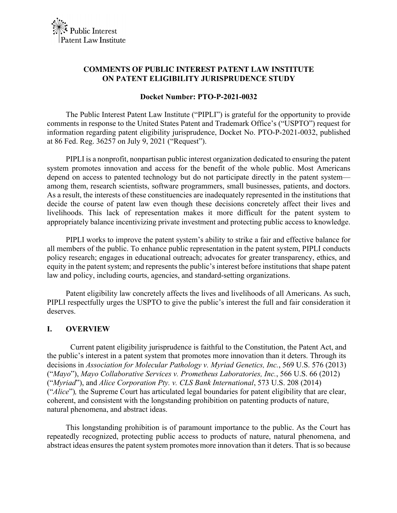# **COMMENTS OF PUBLIC INTEREST PATENT LAW INSTITUTE ON PATENT ELIGIBILITY JURISPRUDENCE STUDY**

#### **Docket Number: PTO-P-2021-0032**

The Public Interest Patent Law Institute ("PIPLI") is grateful for the opportunity to provide comments in response to the United States Patent and Trademark Office's ("USPTO") request for information regarding patent eligibility jurisprudence, Docket No. PTO-P-2021-0032, published at 86 Fed. Reg. 36257 on July 9, 2021 ("Request").

PIPLI is a nonprofit, nonpartisan public interest organization dedicated to ensuring the patent system promotes innovation and access for the benefit of the whole public. Most Americans depend on access to patented technology but do not participate directly in the patent system among them, research scientists, software programmers, small businesses, patients, and doctors. As a result, the interests of these constituencies are inadequately represented in the institutions that decide the course of patent law even though these decisions concretely affect their lives and livelihoods. This lack of representation makes it more difficult for the patent system to appropriately balance incentivizing private investment and protecting public access to knowledge.

PIPLI works to improve the patent system's ability to strike a fair and effective balance for all members of the public. To enhance public representation in the patent system, PIPLI conducts policy research; engages in educational outreach; advocates for greater transparency, ethics, and equity in the patent system; and represents the public's interest before institutions that shape patent law and policy, including courts, agencies, and standard-setting organizations.

Patent eligibility law concretely affects the lives and livelihoods of all Americans. As such, PIPLI respectfully urges the USPTO to give the public's interest the full and fair consideration it deserves.

## **I. OVERVIEW**

Current patent eligibility jurisprudence is faithful to the Constitution, the Patent Act, and the public's interest in a patent system that promotes more innovation than it deters. Through its decisions in *Association for Molecular Pathology v. Myriad Genetics, Inc.*, 569 U.S. 576 (2013) ("*Mayo*"), *Mayo Collaborative Services v. Prometheus Laboratories, Inc.*, 566 U.S. 66 (2012) ("*Myriad*"), and *Alice Corporation Pty. v. CLS Bank International*, 573 U.S. 208 (2014) ("*Alice*")*,* the Supreme Court has articulated legal boundaries for patent eligibility that are clear, coherent, and consistent with the longstanding prohibition on patenting products of nature, natural phenomena, and abstract ideas.

This longstanding prohibition is of paramount importance to the public. As the Court has repeatedly recognized, protecting public access to products of nature, natural phenomena, and abstract ideas ensures the patent system promotes more innovation than it deters. That is so because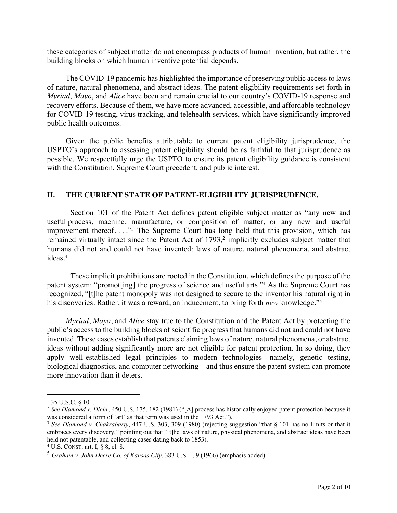these categories of subject matter do not encompass products of human invention, but rather, the building blocks on which human inventive potential depends.

The COVID-19 pandemic has highlighted the importance of preserving public access to laws of nature, natural phenomena, and abstract ideas. The patent eligibility requirements set forth in *Myriad*, *Mayo*, and *Alice* have been and remain crucial to our country's COVID-19 response and recovery efforts. Because of them, we have more advanced, accessible, and affordable technology for COVID-19 testing, virus tracking, and telehealth services, which have significantly improved public health outcomes.

Given the public benefits attributable to current patent eligibility jurisprudence, the USPTO's approach to assessing patent eligibility should be as faithful to that jurisprudence as possible. We respectfully urge the USPTO to ensure its patent eligibility guidance is consistent with the Constitution, Supreme Court precedent, and public interest.

# **II. THE CURRENT STATE OF PATENT-ELIGIBILITY JURISPRUDENCE.**

Section 101 of the Patent Act defines patent eligible subject matter as "any new and useful process, machine, manufacture, or composition of matter, or any new and useful improvement thereof...." The Supreme Court has long held that this provision, which has remained virtually intact since the Patent Act of 1793,<sup>2</sup> implicitly excludes subject matter that humans did not and could not have invented: laws of nature, natural phenomena, and abstract ideas. 3

These implicit prohibitions are rooted in the Constitution, which defines the purpose of the patent system: "promot[ing] the progress of science and useful arts."4 As the Supreme Court has recognized, "[t]he patent monopoly was not designed to secure to the inventor his natural right in his discoveries. Rather, it was a reward, an inducement, to bring forth *new* knowledge."5

*Myriad*, *Mayo*, and *Alice* stay true to the Constitution and the Patent Act by protecting the public's access to the building blocks of scientific progress that humans did not and could not have invented. These cases establish that patents claiming laws of nature, natural phenomena, or abstract ideas without adding significantly more are not eligible for patent protection. In so doing, they apply well-established legal principles to modern technologies—namely, genetic testing, biological diagnostics, and computer networking—and thus ensure the patent system can promote more innovation than it deters.

<sup>&</sup>lt;sup>1</sup> 35 U.S.C. § 101.

<sup>2</sup> *See Diamond v. Diehr*, 450 U.S. 175, 182 (1981) ("[A] process has historically enjoyed patent protection because it was considered a form of 'art' as that term was used in the 1793 Act.").

<sup>3</sup> *See Diamond v. Chakrabarty*, 447 U.S. 303, 309 (1980) (rejecting suggestion "that § 101 has no limits or that it embraces every discovery," pointing out that "[t]he laws of nature, physical phenomena, and abstract ideas have been held not patentable, and collecting cases dating back to 1853).

 $4$  U.S. CONST. art. I,  $8$  8, cl. 8.

<sup>5</sup> *Graham v. John Deere Co. of Kansas City*, 383 U.S. 1, 9 (1966) (emphasis added).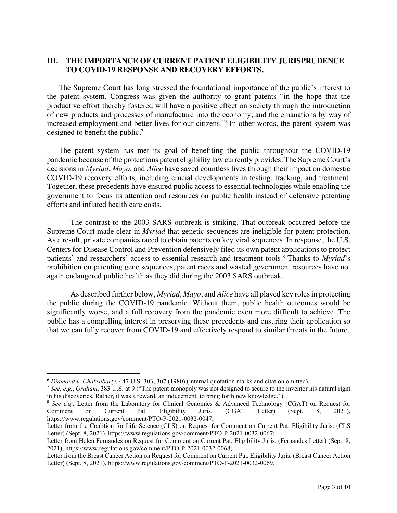# **III. THE IMPORTANCE OF CURRENT PATENT ELIGIBILITY JURISPRUDENCE TO COVID-19 RESPONSE AND RECOVERY EFFORTS.**

The Supreme Court has long stressed the foundational importance of the public's interest to the patent system. Congress was given the authority to grant patents "in the hope that the productive effort thereby fostered will have a positive effect on society through the introduction of new products and processes of manufacture into the economy, and the emanations by way of increased employment and better lives for our citizens."6 In other words, the patent system was designed to benefit the public.7

The patent system has met its goal of benefiting the public throughout the COVID-19 pandemic because of the protections patent eligibility law currently provides. The Supreme Court's decisions in *Myriad*, *Mayo*, and *Alice* have saved countless lives through their impact on domestic COVID-19 recovery efforts, including crucial developments in testing, tracking, and treatment. Together, these precedents have ensured public access to essential technologies while enabling the government to focus its attention and resources on public health instead of defensive patenting efforts and inflated health care costs.

The contrast to the 2003 SARS outbreak is striking. That outbreak occurred before the Supreme Court made clear in *Myriad* that genetic sequences are ineligible for patent protection*.*  As a result, private companies raced to obtain patents on key viral sequences. In response, the U.S. Centers for Disease Control and Prevention defensively filed its own patent applications to protect patients' and researchers' access to essential research and treatment tools.8 Thanks to *Myriad*'s prohibition on patenting gene sequences, patent races and wasted government resources have not again endangered public health as they did during the 2003 SARS outbreak.

As described further below, *Myriad, Mayo*, and *Alice* have all played key roles in protecting the public during the COVID-19 pandemic. Without them, public health outcomes would be significantly worse, and a full recovery from the pandemic even more difficult to achieve. The public has a compelling interest in preserving these precedents and ensuring their application so that we can fully recover from COVID-19 and effectively respond to similar threats in the future.

<sup>6</sup> *Diamond v. Chakrabarty*, 447 U.S. 303, 307 (1980) (internal quotation marks and citation omitted).

<sup>7</sup> *See, e.g.*, *Graham*, 383 U.S. at 9 ("The patent monopoly was not designed to secure to the inventor his natural right

<sup>&</sup>lt;sup>8</sup> See e.g., Letter from the Laboratory for Clinical Genomics & Advanced Technology (CGAT) on Request for Comment on Current Pat. Eligibility Juris. (CGAT Letter) (Sept. 8, 2021), https://www.regulations.gov/comment/PTO-P-2021-0032-0047;

Letter from the Coalition for Life Science (CLS) on Request for Comment on Current Pat. Eligibility Juris. (CLS Letter) (Sept. 8, 2021), https://www.regulations.gov/comment/PTO-P-2021-0032-0067;

Letter from Helen Fernandes on Request for Comment on Current Pat. Eligibility Juris. (Fernandes Letter) (Sept. 8, 2021), https://www.regulations.gov/comment/PTO-P-2021-0032-0068;

Letter from the Breast Cancer Action on Request for Comment on Current Pat. Eligibility Juris. (Breast Cancer Action Letter) (Sept. 8, 2021), https://www.regulations.gov/comment/PTO-P-2021-0032-0069.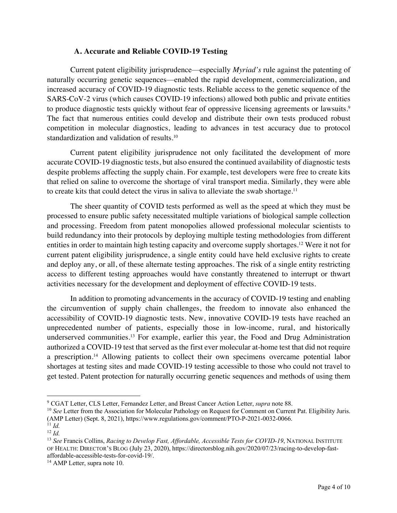## **A. Accurate and Reliable COVID-19 Testing**

Current patent eligibility jurisprudence—especially *Myriad's* rule against the patenting of naturally occurring genetic sequences—enabled the rapid development, commercialization, and increased accuracy of COVID-19 diagnostic tests. Reliable access to the genetic sequence of the SARS-CoV-2 virus (which causes COVID-19 infections) allowed both public and private entities to produce diagnostic tests quickly without fear of oppressive licensing agreements or lawsuits.<sup>9</sup> The fact that numerous entities could develop and distribute their own tests produced robust competition in molecular diagnostics, leading to advances in test accuracy due to protocol standardization and validation of results.10

Current patent eligibility jurisprudence not only facilitated the development of more accurate COVID-19 diagnostic tests, but also ensured the continued availability of diagnostic tests despite problems affecting the supply chain. For example, test developers were free to create kits that relied on saline to overcome the shortage of viral transport media. Similarly, they were able to create kits that could detect the virus in saliva to alleviate the swab shortage.<sup>11</sup>

The sheer quantity of COVID tests performed as well as the speed at which they must be processed to ensure public safety necessitated multiple variations of biological sample collection and processing. Freedom from patent monopolies allowed professional molecular scientists to build redundancy into their protocols by deploying multiple testing methodologies from different entities in order to maintain high testing capacity and overcome supply shortages.12 Were it not for current patent eligibility jurisprudence, a single entity could have held exclusive rights to create and deploy any, or all, of these alternate testing approaches. The risk of a single entity restricting access to different testing approaches would have constantly threatened to interrupt or thwart activities necessary for the development and deployment of effective COVID-19 tests.

In addition to promoting advancements in the accuracy of COVID-19 testing and enabling the circumvention of supply chain challenges, the freedom to innovate also enhanced the accessibility of COVID-19 diagnostic tests. New, innovative COVID-19 tests have reached an unprecedented number of patients, especially those in low-income, rural, and historically underserved communities.13 For example, earlier this year, the Food and Drug Administration authorized a COVID-19 test that served as the first ever molecular at-home test that did not require a prescription.14 Allowing patients to collect their own specimens overcame potential labor shortages at testing sites and made COVID-19 testing accessible to those who could not travel to get tested. Patent protection for naturally occurring genetic sequences and methods of using them

<sup>&</sup>lt;sup>9</sup> CGAT Letter, CLS Letter, Fernandez Letter, and Breast Cancer Action Letter, *supra* note 88.<br><sup>10</sup> *See* Letter from the Association for Molecular Pathology on Request for Comment on Current Pat. Eligibility Juris. (AMP Letter) (Sept. 8, 2021), https://www.regulations.gov/comment/PTO-P-2021-0032-0066.

 $\int$ <sup>11</sup> *Id.* 

<sup>12</sup> *Id.*

<sup>13</sup> *See* Francis Collins, *Racing to Develop Fast, Affordable, Accessible Tests for COVID-19*, NATIONAL INSTITUTE OF HEALTH: DIRECTOR'S BLOG (July 23, 2020), https://directorsblog.nih.gov/2020/07/23/racing-to-develop-fastaffordable-accessible-tests-for-covid-19/. 14 AMP Letter, supra note 10.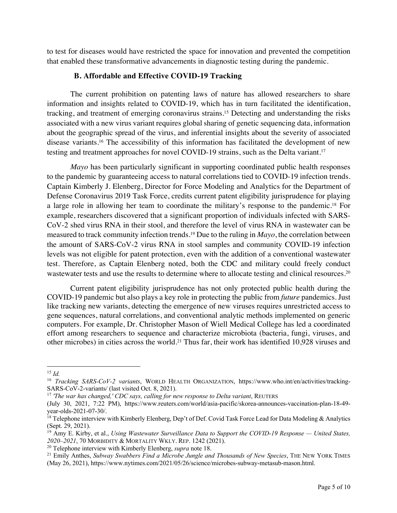to test for diseases would have restricted the space for innovation and prevented the competition that enabled these transformative advancements in diagnostic testing during the pandemic.

## **B. Affordable and Effective COVID-19 Tracking**

The current prohibition on patenting laws of nature has allowed researchers to share information and insights related to COVID-19, which has in turn facilitated the identification, tracking, and treatment of emerging coronavirus strains.15 Detecting and understanding the risks associated with a new virus variant requires global sharing of genetic sequencing data, information about the geographic spread of the virus, and inferential insights about the severity of associated disease variants. <sup>16</sup> The accessibility of this information has facilitated the development of new testing and treatment approaches for novel COVID-19 strains, such as the Delta variant. 17

*Mayo* has been particularly significant in supporting coordinated public health responses to the pandemic by guaranteeing access to natural correlations tied to COVID-19 infection trends. Captain Kimberly J. Elenberg, Director for Force Modeling and Analytics for the Department of Defense Coronavirus 2019 Task Force, credits current patent eligibility jurisprudence for playing a large role in allowing her team to coordinate the military's response to the pandemic.18 For example, researchers discovered that a significant proportion of individuals infected with SARS-CoV-2 shed virus RNA in their stool, and therefore the level of virus RNA in wastewater can be measured to track community infection trends.19 Due to the ruling in *Mayo*, the correlation between the amount of SARS-CoV-2 virus RNA in stool samples and community COVID-19 infection levels was not eligible for patent protection, even with the addition of a conventional wastewater test. Therefore, as Captain Elenberg noted, both the CDC and military could freely conduct wastewater tests and use the results to determine where to allocate testing and clinical resources.<sup>20</sup>

Current patent eligibility jurisprudence has not only protected public health during the COVID-19 pandemic but also plays a key role in protecting the public from *future* pandemics. Just like tracking new variants, detecting the emergence of new viruses requires unrestricted access to gene sequences, natural correlations, and conventional analytic methods implemented on generic computers. For example, Dr. Christopher Mason of Wiell Medical College has led a coordinated effort among researchers to sequence and characterize microbiota (bacteria, fungi, viruses, and other microbes) in cities across the world.21 Thus far, their work has identified 10,928 viruses and

<sup>15</sup> *Id.*

<sup>16</sup> *Tracking SARS-CoV-2 variants*, WORLD HEALTH ORGANIZATION, https://www.who.int/en/activities/tracking-SARS-CoV-2-variants/ (last visited Oct. 8, 2021).<br><sup>17</sup> *'The war has changed,' CDC says, calling for new response to Delta variant*, REUTERS

<sup>(</sup>July 30, 2021, 7:22 PM), https://www.reuters.com/world/asia-pacific/skorea-announces-vaccination-plan-18-49 year-olds-2021-07-30/.<br><sup>18</sup> Telephone interview with Kimberly Elenberg, Dep't of Def. Covid Task Force Lead for Data Modeling & Analytics

<sup>(</sup>Sept. 29, 2021).

<sup>19</sup> Amy E. Kirby, et al., *Using Wastewater Surveillance Data to Support the COVID-19 Response — United States,* 

<sup>&</sup>lt;sup>20</sup> Telephone interview with Kimberly Elenberg, *supra* note 18.

<sup>&</sup>lt;sup>21</sup> Emily Anthes, *Subway Swabbers Find a Microbe Jungle and Thousands of New Species*, THE NEW YORK TIMES (May 26, 2021), https://www.nytimes.com/2021/05/26/science/microbes-subway-metasub-mason.html.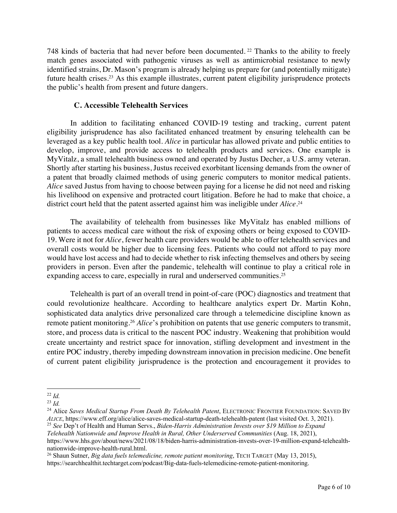748 kinds of bacteria that had never before been documented. <sup>22</sup> Thanks to the ability to freely match genes associated with pathogenic viruses as well as antimicrobial resistance to newly identified strains, Dr. Mason's program is already helping us prepare for (and potentially mitigate) future health crises.<sup>23</sup> As this example illustrates, current patent eligibility jurisprudence protects the public's health from present and future dangers.

## **C. Accessible Telehealth Services**

In addition to facilitating enhanced COVID-19 testing and tracking, current patent eligibility jurisprudence has also facilitated enhanced treatment by ensuring telehealth can be leveraged as a key public health tool. *Alice* in particular has allowed private and public entities to develop, improve, and provide access to telehealth products and services. One example is MyVitalz, a small telehealth business owned and operated by Justus Decher, a U.S. army veteran. Shortly after starting his business, Justus received exorbitant licensing demands from the owner of a patent that broadly claimed methods of using generic computers to monitor medical patients. *Alice* saved Justus from having to choose between paying for a license he did not need and risking his livelihood on expensive and protracted court litigation. Before he had to make that choice, a district court held that the patent asserted against him was ineligible under *Alice*. 24

The availability of telehealth from businesses like MyVitalz has enabled millions of patients to access medical care without the risk of exposing others or being exposed to COVID-19. Were it not for *Alice*, fewer health care providers would be able to offer telehealth services and overall costs would be higher due to licensing fees. Patients who could not afford to pay more would have lost access and had to decide whether to risk infecting themselves and others by seeing providers in person. Even after the pandemic, telehealth will continue to play a critical role in expanding access to care, especially in rural and underserved communities.<sup>25</sup>

Telehealth is part of an overall trend in point-of-care (POC) diagnostics and treatment that could revolutionize healthcare. According to healthcare analytics expert Dr. Martin Kohn, sophisticated data analytics drive personalized care through a telemedicine discipline known as remote patient monitoring.26 *Alice*'s prohibition on patents that use generic computers to transmit, store, and process data is critical to the nascent POC industry. Weakening that prohibition would create uncertainty and restrict space for innovation, stifling development and investment in the entire POC industry, thereby impeding downstream innovation in precision medicine. One benefit of current patent eligibility jurisprudence is the protection and encouragement it provides to

<sup>22</sup> *Id.*

<sup>23</sup> *Id.*

<sup>&</sup>lt;sup>24</sup> Alice *Saves Medical Startup From Death By Telehealth Patent*, ELECTRONIC FRONTIER FOUNDATION: SAVED BY *ALICE*, https://www.eff.org/alice/alice-saves-medical-startup-death-telehealth-patent (last visited Oct. 3, 2021).

<sup>25</sup> *See* Dep't of Health and Human Servs., *Biden-Harris Administration Invests over \$19 Million to Expand Telehealth Nationwide and Improve Health in Rural, Other Underserved Communities* (Aug. 18, 2021),

https://www.hhs.gov/about/news/2021/08/18/biden-harris-administration-invests-over-19-million-expand-telehealth-

nationwide-improve-health-rural.html.<br><sup>26</sup> Shaun Sutner, *Big data fuels telemedicine, remote patient monitoring*, TECH TARGET (May 13, 2015), https://searchhealthit.techtarget.com/podcast/Big-data-fuels-telemedicine-remote-patient-monitoring.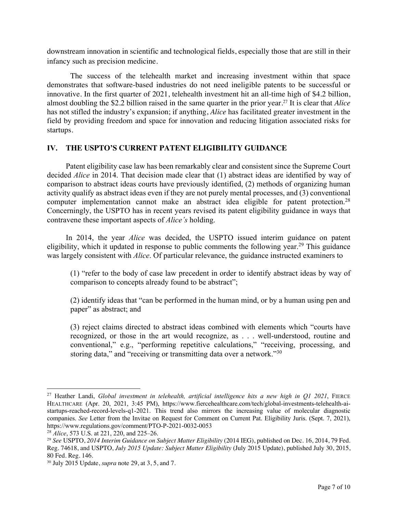downstream innovation in scientific and technological fields, especially those that are still in their infancy such as precision medicine.

The success of the telehealth market and increasing investment within that space demonstrates that software-based industries do not need ineligible patents to be successful or innovative. In the first quarter of 2021, telehealth investment hit an all-time high of \$4.2 billion, almost doubling the \$2.2 billion raised in the same quarter in the prior year.27 It is clear that *Alice*  has not stifled the industry's expansion; if anything, *Alice* has facilitated greater investment in the field by providing freedom and space for innovation and reducing litigation associated risks for startups.

# **IV. THE USPTO'S CURRENT PATENT ELIGIBILITY GUIDANCE**

Patent eligibility case law has been remarkably clear and consistent since the Supreme Court decided *Alice* in 2014. That decision made clear that (1) abstract ideas are identified by way of comparison to abstract ideas courts have previously identified, (2) methods of organizing human activity qualify as abstract ideas even if they are not purely mental processes, and (3) conventional computer implementation cannot make an abstract idea eligible for patent protection.<sup>28</sup> Concerningly, the USPTO has in recent years revised its patent eligibility guidance in ways that contravene these important aspects of *Alice's* holding.

In 2014, the year *Alice* was decided, the USPTO issued interim guidance on patent eligibility, which it updated in response to public comments the following year.<sup>29</sup> This guidance was largely consistent with *Alice*. Of particular relevance, the guidance instructed examiners to

(1) "refer to the body of case law precedent in order to identify abstract ideas by way of comparison to concepts already found to be abstract";

(2) identify ideas that "can be performed in the human mind, or by a human using pen and paper" as abstract; and

(3) reject claims directed to abstract ideas combined with elements which "courts have recognized, or those in the art would recognize, as . . . well-understood, routine and conventional," e.g., "performing repetitive calculations," "receiving, processing, and storing data," and "receiving or transmitting data over a network."<sup>30</sup>

<sup>27</sup> Heather Landi, *Global investment in telehealth, artificial intelligence hits a new high in Q1 2021*, FIERCE HEALTHCARE (Apr. 20, 2021, 3:45 PM), https://www.fiercehealthcare.com/tech/global-investments-telehealth-aistartups-reached-record-levels-q1-2021. This trend also mirrors the increasing value of molecular diagnostic companies. *See* Letter from the Invitae on Request for Comment on Current Pat. Eligibility Juris. (Sept. 7, 2021), https://www.regulations.gov/comment/PTO-P-2021-0032-0053

<sup>28</sup> *Alice*, 573 U.S. at 221, 220, and 225–26.

<sup>29</sup> *See* USPTO, *2014 Interim Guidance on Subject Matter Eligibility* (2014 IEG), published on Dec. 16, 2014, 79 Fed. Reg. 74618, and USPTO, *July 2015 Update: Subject Matter Eligibility* (July 2015 Update), published July 30, 2015, 80 Fed. Reg. 146.

<sup>30</sup> July 2015 Update, *supra* note 29, at 3, 5, and 7.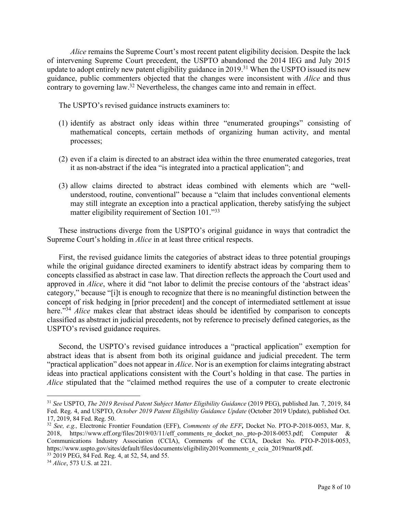*Alice* remains the Supreme Court's most recent patent eligibility decision. Despite the lack of intervening Supreme Court precedent, the USPTO abandoned the 2014 IEG and July 2015 update to adopt entirely new patent eligibility guidance in 2019.<sup>31</sup> When the USPTO issued its new guidance, public commenters objected that the changes were inconsistent with *Alice* and thus contrary to governing law.32 Nevertheless, the changes came into and remain in effect.

The USPTO's revised guidance instructs examiners to:

- (1) identify as abstract only ideas within three "enumerated groupings" consisting of mathematical concepts, certain methods of organizing human activity, and mental processes;
- (2) even if a claim is directed to an abstract idea within the three enumerated categories, treat it as non-abstract if the idea "is integrated into a practical application"; and
- (3) allow claims directed to abstract ideas combined with elements which are "wellunderstood, routine, conventional" because a "claim that includes conventional elements may still integrate an exception into a practical application, thereby satisfying the subject matter eligibility requirement of Section 101."33

These instructions diverge from the USPTO's original guidance in ways that contradict the Supreme Court's holding in *Alice* in at least three critical respects.

First, the revised guidance limits the categories of abstract ideas to three potential groupings while the original guidance directed examiners to identify abstract ideas by comparing them to concepts classified as abstract in case law. That direction reflects the approach the Court used and approved in *Alice*, where it did "not labor to delimit the precise contours of the 'abstract ideas' category," because "[i]t is enough to recognize that there is no meaningful distinction between the concept of risk hedging in [prior precedent] and the concept of intermediated settlement at issue here."<sup>34</sup> *Alice* makes clear that abstract ideas should be identified by comparison to concepts classified as abstract in judicial precedents, not by reference to precisely defined categories, as the USPTO's revised guidance requires.

Second, the USPTO's revised guidance introduces a "practical application" exemption for abstract ideas that is absent from both its original guidance and judicial precedent. The term "practical application" does not appear in *Alice*. Nor is an exemption for claims integrating abstract ideas into practical applications consistent with the Court's holding in that case. The parties in *Alice* stipulated that the "claimed method requires the use of a computer to create electronic

<sup>31</sup> *See* USPTO, *The 2019 Revised Patent Subject Matter Eligibility Guidance* (2019 PEG), published Jan. 7, 2019, 84 Fed. Reg. 4, and USPTO, *October 2019 Patent Eligibility Guidance Update* (October 2019 Update), published Oct. 17, 2019, 84 Fed. Reg. 50.

<sup>32</sup> *See, e.g.,* Electronic Frontier Foundation (EFF), *Comments of the EFF,* Docket No. PTO-P-2018-0053, Mar. 8, 2018, https://www.eff.org/files/2019/03/11/eff comments re docket no. pto-p-2018-0053.pdf; Computer & Communications Industry Association (CCIA), Comments of the CCIA, Docket No. PTO-P-2018-0053, https://www.uspto.gov/sites/default/files/documents/eligibility2019comments\_e\_ccia\_2019mar08.pdf.

<sup>33</sup> 2019 PEG, 84 Fed. Reg. 4, at 52, 54, and 55.

<sup>34</sup> *Alice*, 573 U.S. at 221.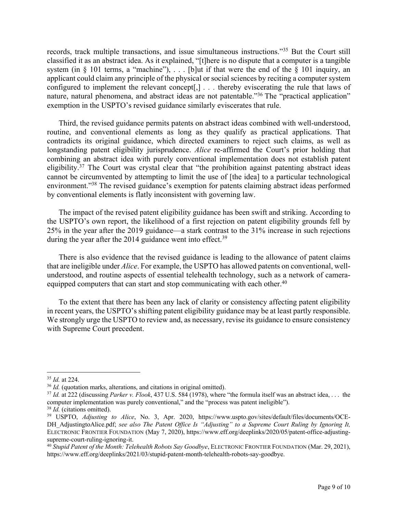records, track multiple transactions, and issue simultaneous instructions."35 But the Court still classified it as an abstract idea. As it explained, "[t]here is no dispute that a computer is a tangible system (in  $\S$  101 terms, a "machine"), ... [b]ut if that were the end of the  $\S$  101 inquiry, an applicant could claim any principle of the physical or social sciences by reciting a computer system configured to implement the relevant concept[,] *. . .* thereby eviscerating the rule that laws of nature, natural phenomena, and abstract ideas are not patentable."<sup>36</sup> The "practical application" exemption in the USPTO's revised guidance similarly eviscerates that rule.

Third, the revised guidance permits patents on abstract ideas combined with well-understood, routine, and conventional elements as long as they qualify as practical applications. That contradicts its original guidance, which directed examiners to reject such claims, as well as longstanding patent eligibility jurisprudence. *Alice* re-affirmed the Court's prior holding that combining an abstract idea with purely conventional implementation does not establish patent eligibility.37 The Court was crystal clear that "the prohibition against patenting abstract ideas cannot be circumvented by attempting to limit the use of [the idea] to a particular technological environment."38 The revised guidance's exemption for patents claiming abstract ideas performed by conventional elements is flatly inconsistent with governing law.

The impact of the revised patent eligibility guidance has been swift and striking. According to the USPTO's own report, the likelihood of a first rejection on patent eligibility grounds fell by 25% in the year after the 2019 guidance—a stark contrast to the 31% increase in such rejections during the year after the 2014 guidance went into effect.<sup>39</sup>

There is also evidence that the revised guidance is leading to the allowance of patent claims that are ineligible under *Alice*. For example, the USPTO has allowed patents on conventional, wellunderstood, and routine aspects of essential telehealth technology, such as a network of cameraequipped computers that can start and stop communicating with each other.<sup>40</sup>

To the extent that there has been any lack of clarity or consistency affecting patent eligibility in recent years, the USPTO's shifting patent eligibility guidance may be at least partly responsible. We strongly urge the USPTO to review and, as necessary, revise its guidance to ensure consistency with Supreme Court precedent.

<sup>&</sup>lt;sup>35</sup> *Id.* at 224.<br><sup>36</sup> *Id.* (quotation marks, alterations, and citations in original omitted).

<sup>&</sup>lt;sup>37</sup> *Id.* at 222 (discussing *Parker v. Flook*, 437 U.S. 584 (1978), where "the formula itself was an abstract idea, . . . the computer implementation was purely conventional," and the "process was patent ineligible").

<sup>38</sup> *Id.* (citations omitted).

<sup>39</sup> USPTO, *Adjusting to Alice*, No. 3, Apr. 2020, https://www.uspto.gov/sites/default/files/documents/OCE-DH\_AdjustingtoAlice.pdf; see also The Patent Office Is "Adjusting" to a Supreme Court Ruling by Ignoring It, ELECTRONIC FRONTIER FOUNDATION (May 7, 2020), https://www.eff.org/deeplinks/2020/05/patent-office-adjustingsupreme-court-ruling-ignoring-it.<br><sup>40</sup> *Stupid Patent of the Month: Telehealth Robots Say Goodbye*, ELECTRONIC FRONTIER FOUNDATION (Mar. 29, 2021),

https://www.eff.org/deeplinks/2021/03/stupid-patent-month-telehealth-robots-say-goodbye.